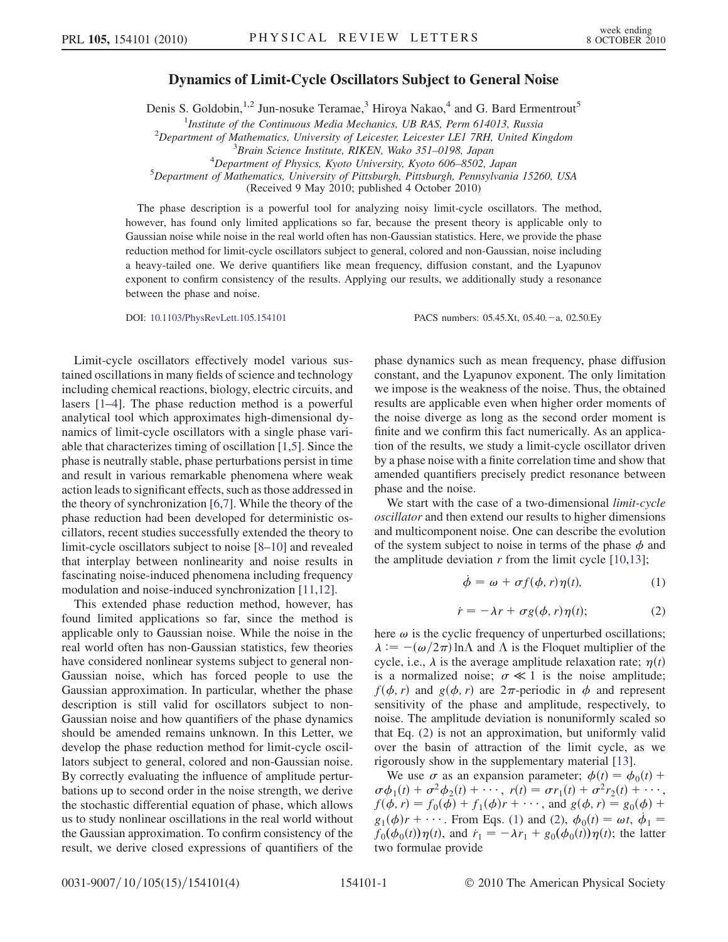## Dynamics of Limit-Cycle Oscillators Subject to General Noise

Denis S. Goldobin,<sup>1,2</sup> Jun-nosuke Teramae,<sup>3</sup> Hiroya Nakao,<sup>4</sup> and G. Bard Ermentrout<sup>5</sup>

<sup>1</sup>Institute of the Continuous Media Mechanics, UB RAS, Perm 614013, Russia<br><sup>2</sup>Department of Mathematics, University of Leicester Leicester LEJ 7PH United Ki

 $^{2}$ Department of Mathematics, University of Leicester, Leicester LE1 7RH, United Kingdom

 $^{4}$ Department of Physics, Kyoto University, Kyoto 606-8502, Japan

Department of Mathematics, University of Pittsburgh, Pittsburgh, Pennsylvania 15260, USA

(Received 9 May 2010; published 4 October 2010)

The phase description is a powerful tool for analyzing noisy limit-cycle oscillators. The method, however, has found only limited applications so far, because the present theory is applicable only to Gaussian noise while noise in the real world often has non-Gaussian statistics. Here, we provide the phase reduction method for limit-cycle oscillators subject to general, colored and non-Gaussian, noise including a heavy-tailed one. We derive quantifiers like mean frequency, diffusion constant, and the Lyapunov exponent to confirm consistency of the results. Applying our results, we additionally study a resonance between the phase and noise.

DOI: [10.1103/PhysRevLett.105.154101](http://dx.doi.org/10.1103/PhysRevLett.105.154101) PACS numbers: 05.45.Xt, 05.40. - a, 02.50.Ey

Limit-cycle oscillators effectively model various sustained oscillations in many fields of science and technology including chemical reactions, biology, electric circuits, and lasers [[1](#page-3-0)[–4](#page-3-1)]. The phase reduction method is a powerful analytical tool which approximates high-dimensional dynamics of limit-cycle oscillators with a single phase variable that characterizes timing of oscillation [\[1](#page-3-0)[,5](#page-3-2)]. Since the phase is neutrally stable, phase perturbations persist in time and result in various remarkable phenomena where weak action leads to significant effects, such as those addressed in the theory of synchronization [[6,](#page-3-3)[7\]](#page-3-4). While the theory of the phase reduction had been developed for deterministic oscillators, recent studies successfully extended the theory to limit-cycle oscillators subject to noise [\[8](#page-3-5)–[10\]](#page-3-6) and revealed that interplay between nonlinearity and noise results in fascinating noise-induced phenomena including frequency modulation and noise-induced synchronization [[11,](#page-3-7)[12](#page-3-8)].

This extended phase reduction method, however, has found limited applications so far, since the method is applicable only to Gaussian noise. While the noise in the real world often has non-Gaussian statistics, few theories have considered nonlinear systems subject to general non-Gaussian noise, which has forced people to use the Gaussian approximation. In particular, whether the phase description is still valid for oscillators subject to non-Gaussian noise and how quantifiers of the phase dynamics should be amended remains unknown. In this Letter, we develop the phase reduction method for limit-cycle oscillators subject to general, colored and non-Gaussian noise. By correctly evaluating the influence of amplitude perturbations up to second order in the noise strength, we derive the stochastic differential equation of phase, which allows us to study nonlinear oscillations in the real world without the Gaussian approximation. To confirm consistency of the result, we derive closed expressions of quantifiers of the phase dynamics such as mean frequency, phase diffusion constant, and the Lyapunov exponent. The only limitation we impose is the weakness of the noise. Thus, the obtained results are applicable even when higher order moments of the noise diverge as long as the second order moment is finite and we confirm this fact numerically. As an application of the results, we study a limit-cycle oscillator driven by a phase noise with a finite correlation time and show that amended quantifiers precisely predict resonance between phase and the noise.

<span id="page-0-0"></span>We start with the case of a two-dimensional *limit-cycle* oscillator and then extend our results to higher dimensions and multicomponent noise. One can describe the evolution of the system subject to noise in terms of the phase  $\phi$  and the amplitude deviation  $r$  from the limit cycle  $[10,13]$  $[10,13]$ ;

$$
\dot{\phi} = \omega + \sigma f(\phi, r)\eta(t), \tag{1}
$$

$$
\dot{r} = -\lambda r + \sigma g(\phi, r)\eta(t); \tag{2}
$$

<span id="page-0-1"></span>here  $\omega$  is the cyclic frequency of unperturbed oscillations;  $\lambda := -(\omega/2\pi) \ln \Lambda$  and  $\Lambda$  is the Floquet multiplier of the cycle, i.e.,  $\lambda$  is the average amplitude relaxation rate;  $\eta(t)$ is a normalized noise;  $\sigma \ll 1$  is the noise amplitude;  $f(\phi, r)$  and  $g(\phi, r)$  are  $2\pi$ -periodic in  $\phi$  and represent sensitivity of the phase and amplitude, respectively, to noise. The amplitude deviation is nonuniformly scaled so that Eq. ([2](#page-0-0)) is not an approximation, but uniformly valid over the basin of attraction of the limit cycle, as we rigorously show in the supplementary material [[13](#page-3-9)].

We use  $\sigma$  as an expansion parameter;  $\phi(t) = \phi_0(t) +$  $\sigma\phi_1(t) + \sigma^2\phi_2(t) + \cdots, r(t) = \sigma r_1(t) + \sigma^2 r_2(t) + \cdots,$  $f(\phi, r) = f_0(\phi) + f_1(\phi)r + \cdots$ , and  $g(\phi, r) = g_0(\phi) +$  $g_1(\phi)r + \cdots$ . From Eqs. ([1\)](#page-0-1) and [\(2\)](#page-0-0),  $\phi_0(t) = \omega t, \dot{\phi}_1 =$  $f_0(\phi_0(t))\eta(t)$ , and  $\dot{r}_1 = -\lambda r_1 + g_0(\phi_0(t))\eta(t)$ ; the latter two formulae provide

<sup>&</sup>lt;sup>3</sup>Brain Science Institute, RIKEN, Wako 351-0198, Japan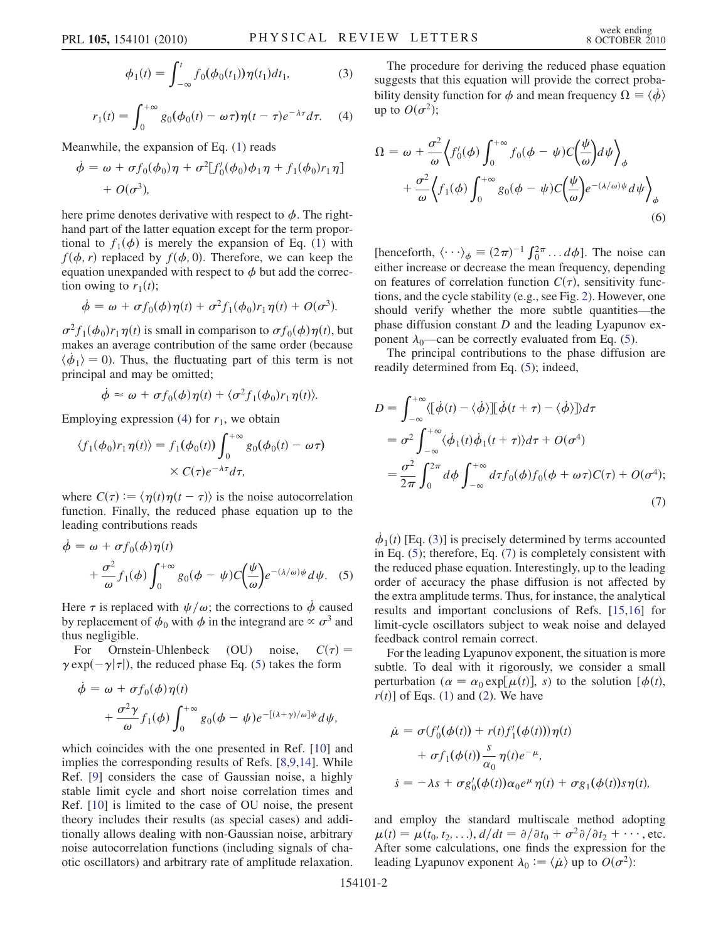$$
\phi_1(t) = \int_{-\infty}^t f_0(\phi_0(t_1)) \eta(t_1) dt_1, \tag{3}
$$

<span id="page-1-0"></span>
$$
r_1(t) = \int_0^{+\infty} g_0(\phi_0(t) - \omega \tau) \eta(t - \tau) e^{-\lambda \tau} d\tau.
$$
 (4)

<span id="page-1-2"></span>Meanwhile, the expansion of Eq. ([1\)](#page-0-1) reads

$$
\dot{\phi} = \omega + \sigma f_0(\phi_0)\eta + \sigma^2[f'_0(\phi_0)\phi_1\eta + f_1(\phi_0)r_1\eta] + O(\sigma^3),
$$

here prime denotes derivative with respect to  $\phi$ . The righthand part of the latter equation except for the term proportional to  $f_1(\phi)$  is merely the expansion of Eq. [\(1\)](#page-0-1) with  $f(\phi, r)$  replaced by  $f(\phi, 0)$ . Therefore, we can keep the equation unexpanded with respect to  $\phi$  but add the correction owing to  $r_1(t)$ ;

$$
\dot{\phi} = \omega + \sigma f_0(\phi) \eta(t) + \sigma^2 f_1(\phi_0) r_1 \eta(t) + O(\sigma^3).
$$

 $\sigma^2 f_1(\phi_0) r_1 \eta(t)$  is small in comparison to  $\sigma f_0(\phi) \eta(t)$ , but makes an average contribution of the same order (because  $\langle \dot{\phi}_1 \rangle = 0$ ). Thus, the fluctuating part of this term is not principal and may be omitted;

$$
\dot{\phi} \approx \omega + \sigma f_0(\phi) \eta(t) + \langle \sigma^2 f_1(\phi_0) r_1 \eta(t) \rangle.
$$

Employing expression ([4\)](#page-1-0) for  $r_1$ , we obtain

$$
\langle f_1(\phi_0)r_1\eta(t)\rangle = f_1(\phi_0(t))\int_0^{+\infty} g_0(\phi_0(t) - \omega\tau)
$$
  
 
$$
\times C(\tau)e^{-\lambda\tau}d\tau,
$$

<span id="page-1-1"></span>where  $C(\tau) := \langle \eta(t) \eta(t - \tau) \rangle$  is the noise autocorrelation function. Finally, the reduced phase equation up to the leading contributions reads

$$
\dot{\phi} = \omega + \sigma f_0(\phi) \eta(t) \n+ \frac{\sigma^2}{\omega} f_1(\phi) \int_0^{+\infty} g_0(\phi - \psi) C\left(\frac{\psi}{\omega}\right) e^{-(\lambda/\omega)\psi} d\psi.
$$
\n(5)

Here  $\tau$  is replaced with  $\psi/\omega$ ; the corrections to  $\dot{\phi}$  caused by replacement of  $\phi_0$  with  $\phi$  in the integrand are  $\propto \sigma^3$  and thus negligible.

For Ornstein-Uhlenbeck (OU) noise,  $C(\tau) =$  $\gamma \exp(-\gamma|\tau|)$ , the reduced phase Eq. ([5\)](#page-1-1) takes the form

$$
\dot{\phi} = \omega + \sigma f_0(\phi) \eta(t) \n+ \frac{\sigma^2 \gamma}{\omega} f_1(\phi) \int_0^{+\infty} g_0(\phi - \psi) e^{-[(\lambda + \gamma)/\omega] \psi} d\psi,
$$

which coincides with the one presented in Ref. [\[10\]](#page-3-6) and implies the corresponding results of Refs. [[8](#page-3-5),[9,](#page-3-10)[14](#page-3-11)]. While Ref. [[9\]](#page-3-10) considers the case of Gaussian noise, a highly stable limit cycle and short noise correlation times and Ref. [\[10](#page-3-6)] is limited to the case of OU noise, the present theory includes their results (as special cases) and additionally allows dealing with non-Gaussian noise, arbitrary noise autocorrelation functions (including signals of chaotic oscillators) and arbitrary rate of amplitude relaxation.

The procedure for deriving the reduced phase equation suggests that this equation will provide the correct probability density function for  $\phi$  and mean frequency  $\Omega = \langle \dot{\phi} \rangle$ up to  $O(\sigma^2)$ ;

$$
\Omega = \omega + \frac{\sigma^2}{\omega} \Big\langle f'_0(\phi) \int_0^{+\infty} f_0(\phi - \psi) C\Big(\frac{\psi}{\omega}\Big) d\psi \Big\rangle_{\phi} \n+ \frac{\sigma^2}{\omega} \Big\langle f_1(\phi) \int_0^{+\infty} g_0(\phi - \psi) C\Big(\frac{\psi}{\omega}\Big) e^{-(\lambda/\omega)\psi} d\psi \Big\rangle_{\phi} \n(6)
$$

[henceforth,  $\langle \cdots \rangle_{\phi} \equiv (2\pi)^{-1} \int_0^{2\pi} \cdots d\phi$ ]. The noise can either increase or decrease the mean frequency, depending on features of correlation function  $C(\tau)$ , sensitivity functions, and the cycle stability (e.g., see Fig. [2\)](#page-3-12). However, one should verify whether the more subtle quantities—the phase diffusion constant  $D$  and the leading Lyapunov exponent  $\lambda_0$ —can be correctly evaluated from Eq. [\(5\)](#page-1-1).

<span id="page-1-3"></span>The principal contributions to the phase diffusion are readily determined from Eq. ([5\)](#page-1-1); indeed,

$$
D = \int_{-\infty}^{+\infty} \langle [\dot{\phi}(t) - \langle \dot{\phi} \rangle] [\dot{\phi}(t + \tau) - \langle \dot{\phi} \rangle] \rangle d\tau
$$
  
\n
$$
= \sigma^2 \int_{-\infty}^{+\infty} \langle \dot{\phi}_1(t) \dot{\phi}_1(t + \tau) \rangle d\tau + O(\sigma^4)
$$
  
\n
$$
= \frac{\sigma^2}{2\pi} \int_{0}^{2\pi} d\phi \int_{-\infty}^{+\infty} d\tau f_0(\phi) f_0(\phi + \omega \tau) C(\tau) + O(\sigma^4);
$$
\n(7)

 $\dot{\phi}_1(t)$  [Eq. ([3](#page-1-2))] is precisely determined by terms accounted in Eq. ([5\)](#page-1-1); therefore, Eq. [\(7\)](#page-1-3) is completely consistent with the reduced phase equation. Interestingly, up to the leading order of accuracy the phase diffusion is not affected by the extra amplitude terms. Thus, for instance, the analytical results and important conclusions of Refs. [\[15](#page-3-13)[,16\]](#page-3-14) for limit-cycle oscillators subject to weak noise and delayed feedback control remain correct.

For the leading Lyapunov exponent, the situation is more subtle. To deal with it rigorously, we consider a small perturbation ( $\alpha = \alpha_0 \exp[\mu(t)]$ , s) to the solution  $[\phi(t)]$ ,  $r(t)$ ] of Eqs. ([1](#page-0-1)) and [\(2\)](#page-0-0). We have

$$
\dot{\mu} = \sigma(f'_0(\phi(t)) + r(t)f'_1(\phi(t)))\eta(t)
$$
  
+ 
$$
\sigma f_1(\phi(t)) \frac{s}{\alpha_0} \eta(t) e^{-\mu},
$$
  

$$
\dot{s} = -\lambda s + \sigma g'_0(\phi(t)) \alpha_0 e^{\mu} \eta(t) + \sigma g_1(\phi(t)) s \eta(t),
$$

and employ the standard multiscale method adopting  $\mu(t) = \mu(t_0, t_2, \ldots), d/dt = \partial/\partial t_0 + \sigma^2 \partial/\partial t_2 + \cdots$ , etc. After some calculations, one finds the expression for the leading Lyapunov exponent  $\lambda_0 := \langle \mu \rangle$  up to  $O(\sigma^2)$ :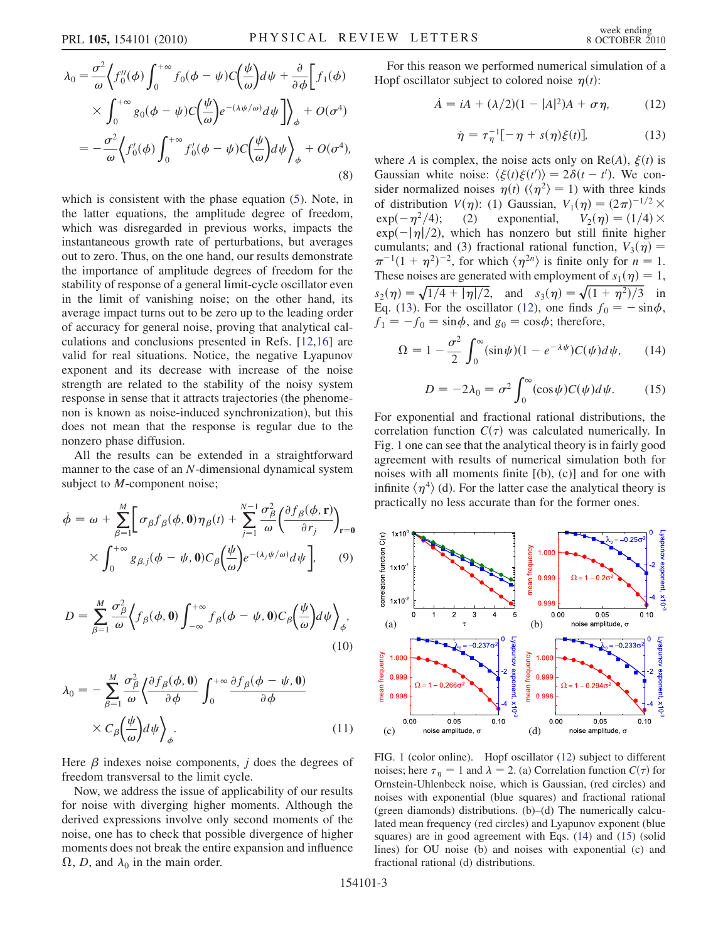$$
\lambda_0 = \frac{\sigma^2}{\omega} \Big\langle f_0''(\phi) \int_0^{+\infty} f_0(\phi - \psi) C\Big(\frac{\psi}{\omega}\Big) d\psi + \frac{\partial}{\partial \phi} \Big[ f_1(\phi) \Big] \times \int_0^{+\infty} g_0(\phi - \psi) C\Big(\frac{\psi}{\omega}\Big) e^{-(\lambda \psi/\omega)} d\psi \Big] \Big\rangle_{\phi} + O(\sigma^4)
$$

$$
= -\frac{\sigma^2}{\omega} \Big\langle f_0'(\phi) \int_0^{+\infty} f_0'(\phi - \psi) C\Big(\frac{\psi}{\omega}\Big) d\psi \Big\rangle_{\phi} + O(\sigma^4), \tag{8}
$$

which is consistent with the phase equation [\(5](#page-1-1)). Note, in the latter equations, the amplitude degree of freedom, which was disregarded in previous works, impacts the instantaneous growth rate of perturbations, but averages out to zero. Thus, on the one hand, our results demonstrate the importance of amplitude degrees of freedom for the stability of response of a general limit-cycle oscillator even in the limit of vanishing noise; on the other hand, its average impact turns out to be zero up to the leading order of accuracy for general noise, proving that analytical calculations and conclusions presented in Refs. [\[12](#page-3-8)[,16\]](#page-3-14) are valid for real situations. Notice, the negative Lyapunov exponent and its decrease with increase of the noise strength are related to the stability of the noisy system response in sense that it attracts trajectories (the phenomenon is known as noise-induced synchronization), but this does not mean that the response is regular due to the nonzero phase diffusion.

All the results can be extended in a straightforward manner to the case of an N-dimensional dynamical system subject to *M*-component noise;

$$
\dot{\phi} = \omega + \sum_{\beta=1}^{M} \left[ \sigma_{\beta} f_{\beta}(\phi, \mathbf{0}) \eta_{\beta}(t) + \sum_{j=1}^{N-1} \frac{\sigma_{\beta}^{2}}{\omega} \left( \frac{\partial f_{\beta}(\phi, \mathbf{r})}{\partial r_{j}} \right)_{\mathbf{r} = \mathbf{0}} \times \int_{0}^{+\infty} g_{\beta, j}(\phi - \psi, \mathbf{0}) C_{\beta} \left( \frac{\psi}{\omega} \right) e^{-(\lambda_{j} \psi/\omega)} d\psi \right], \quad (9)
$$

$$
D = \sum_{\beta=1}^{M} \frac{\sigma_{\beta}^{2}}{\omega} \Big\langle f_{\beta}(\phi, 0) \int_{-\infty}^{+\infty} f_{\beta}(\phi - \psi, 0) C_{\beta} \left(\frac{\psi}{\omega}\right) d\psi \Big\rangle_{\phi},
$$
\n(10)

$$
\lambda_0 = -\sum_{\beta=1}^M \frac{\sigma_\beta^2}{\omega} \left\langle \frac{\partial f_\beta(\phi, \mathbf{0})}{\partial \phi} \int_0^{+\infty} \frac{\partial f_\beta(\phi - \psi, \mathbf{0})}{\partial \phi} \right. \\
\left. \times C_\beta \left( \frac{\psi}{\omega} \right) d\psi \right\rangle_{\phi}.
$$
\n(11)

Here  $\beta$  indexes noise components, *j* does the degrees of freedom transversal to the limit cycle.

Now, we address the issue of applicability of our results for noise with diverging higher moments. Although the derived expressions involve only second moments of the noise, one has to check that possible divergence of higher moments does not break the entire expansion and influence  $\Omega$ , D, and  $\lambda_0$  in the main order.

<span id="page-2-0"></span>For this reason we performed numerical simulation of a Hopf oscillator subject to colored noise  $\eta(t)$ :

$$
\dot{A} = iA + (\lambda/2)(1 - |A|^2)A + \sigma \eta, \qquad (12)
$$

$$
\dot{\eta} = \tau_{\eta}^{-1}[-\eta + s(\eta)\xi(t)],\tag{13}
$$

<span id="page-2-1"></span>where A is complex, the noise acts only on Re(A),  $\xi(t)$  is Gaussian white noise:  $\langle \xi(t) \xi(t') \rangle = 2\delta(t - t')$ . We consider normalized noises  $\eta(t)$  ( $\langle \eta^2 \rangle = 1$ ) with three kinds of distribution  $V(\eta)$ : (1) Gaussian,  $V_1(\eta) = (2\pi)^{-1/2} \times$  $exp(-\eta^2/4)$ ; (2) exponential,  $V_2(\eta) = (1/4) \times$  $\exp(-|\eta|/2)$ , which has nonzero but still finite higher cumulants; and (3) fractional rational function,  $V_3(\eta) =$  $\pi^{-1}(1+\eta^2)^{-2}$ , for which  $\langle \eta^{2n} \rangle$  is finite only for  $n = 1$ . These noises are generated with employment of  $s_1(\eta) = 1$ ,  $s_2(\eta) = \sqrt{1/4 + |\eta|/2}$ , and  $s_3(\eta) = \sqrt{(1 + \eta^2)/3}$  in Eq. ([13](#page-2-0)). For the oscillator ([12](#page-2-1)), one finds  $f_0 = -\sin\phi$ ,  $f_1 = -f_0 = \sin \phi$ , and  $g_0 = \cos \phi$ ; therefore,

<span id="page-2-4"></span>
$$
\Omega = 1 - \frac{\sigma^2}{2} \int_0^\infty (\sin \psi)(1 - e^{-\lambda \psi}) C(\psi) d\psi, \qquad (14)
$$

$$
D = -2\lambda_0 = \sigma^2 \int_0^\infty (\cos \psi) C(\psi) d\psi.
$$
 (15)

<span id="page-2-3"></span>For exponential and fractional rational distributions, the correlation function  $C(\tau)$  was calculated numerically. In Fig. [1](#page-2-2) one can see that the analytical theory is in fairly good agreement with results of numerical simulation both for noises with all moments finite  $[(b), (c)]$  and for one with infinite  $\langle \eta^4 \rangle$  (d). For the latter case the analytical theory is practically no less accurate than for the former ones.

<span id="page-2-2"></span>

FIG. 1 (color online). Hopf oscillator ([12](#page-2-1)) subject to different noises; here  $\tau_{\eta} = 1$  and  $\lambda = 2$ . (a) Correlation function  $C(\tau)$  for Ornstein-Uhlenbeck noise, which is Gaussian, (red circles) and noises with exponential (blue squares) and fractional rational (green diamonds) distributions. (b)–(d) The numerically calculated mean frequency (red circles) and Lyapunov exponent (blue squares) are in good agreement with Eqs. ([14](#page-2-3)) and [\(15\)](#page-2-4) (solid lines) for OU noise (b) and noises with exponential (c) and fractional rational (d) distributions.